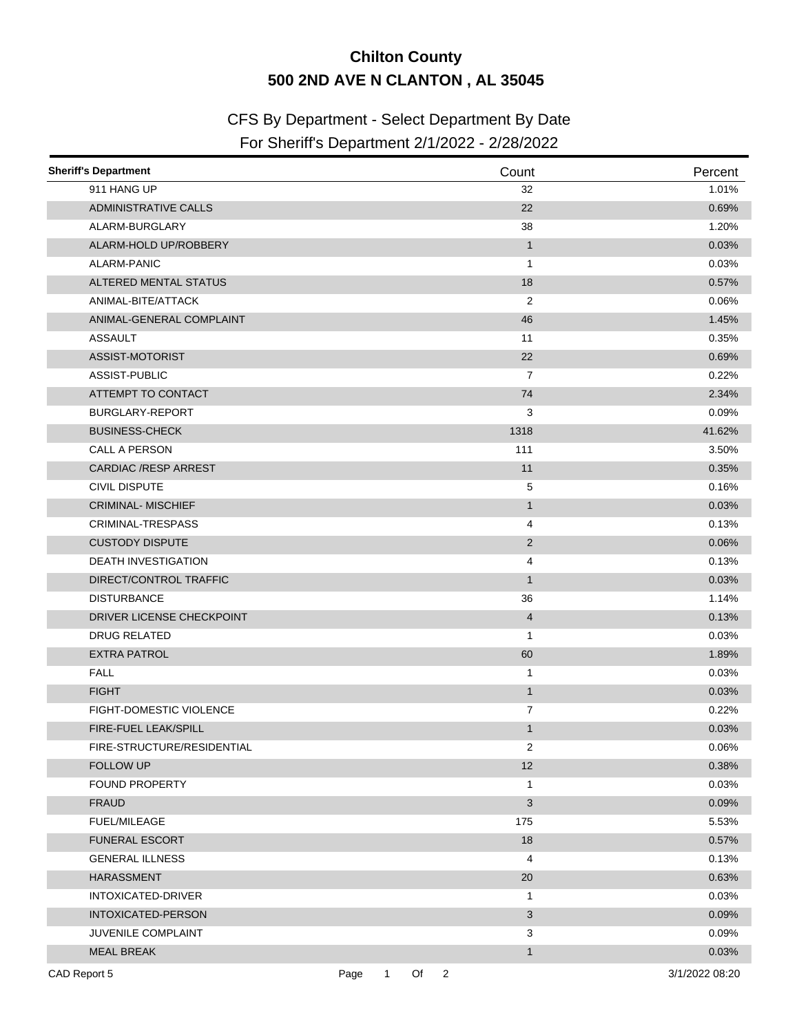## **Chilton County 500 2ND AVE N CLANTON , AL 35045**

## CFS By Department - Select Department By Date

## For Sheriff's Department 2/1/2022 - 2/28/2022

| <b>Sheriff's Department</b>    |      |              |      | Count          | Percent        |
|--------------------------------|------|--------------|------|----------------|----------------|
| 911 HANG UP                    |      |              |      | 32             | 1.01%          |
| <b>ADMINISTRATIVE CALLS</b>    |      |              |      | 22             | 0.69%          |
| ALARM-BURGLARY                 |      |              |      | 38             | 1.20%          |
| ALARM-HOLD UP/ROBBERY          |      |              |      | $\mathbf{1}$   | 0.03%          |
| ALARM-PANIC                    |      |              |      | $\mathbf{1}$   | 0.03%          |
| ALTERED MENTAL STATUS          |      |              |      | 18             | 0.57%          |
| ANIMAL-BITE/ATTACK             |      |              |      | 2              | 0.06%          |
| ANIMAL-GENERAL COMPLAINT       |      |              |      | 46             | 1.45%          |
| <b>ASSAULT</b>                 |      |              |      | 11             | 0.35%          |
| ASSIST-MOTORIST                |      |              |      | 22             | 0.69%          |
| ASSIST-PUBLIC                  |      |              |      | 7              | 0.22%          |
| ATTEMPT TO CONTACT             |      |              |      | 74             | 2.34%          |
| BURGLARY-REPORT                |      |              |      | 3              | 0.09%          |
| <b>BUSINESS-CHECK</b>          |      |              |      | 1318           | 41.62%         |
| CALL A PERSON                  |      |              |      | 111            | 3.50%          |
| <b>CARDIAC /RESP ARREST</b>    |      |              |      | 11             | 0.35%          |
| <b>CIVIL DISPUTE</b>           |      |              |      | 5              | 0.16%          |
| <b>CRIMINAL-MISCHIEF</b>       |      |              |      | $\mathbf{1}$   | 0.03%          |
| <b>CRIMINAL-TRESPASS</b>       |      |              |      | 4              | 0.13%          |
| <b>CUSTODY DISPUTE</b>         |      |              |      | 2              | 0.06%          |
| DEATH INVESTIGATION            |      |              |      | 4              | 0.13%          |
| DIRECT/CONTROL TRAFFIC         |      |              |      | $\mathbf{1}$   | 0.03%          |
| <b>DISTURBANCE</b>             |      |              |      | 36             | 1.14%          |
| DRIVER LICENSE CHECKPOINT      |      |              |      | $\overline{4}$ | 0.13%          |
| <b>DRUG RELATED</b>            |      |              |      | $\mathbf{1}$   | 0.03%          |
| <b>EXTRA PATROL</b>            |      |              |      | 60             | 1.89%          |
| <b>FALL</b>                    |      |              |      | $\mathbf{1}$   | 0.03%          |
| <b>FIGHT</b>                   |      |              |      | $\mathbf{1}$   | 0.03%          |
| <b>FIGHT-DOMESTIC VIOLENCE</b> |      |              |      | 7              | 0.22%          |
| FIRE-FUEL LEAK/SPILL           |      |              |      | $\mathbf{1}$   | 0.03%          |
| FIRE-STRUCTURE/RESIDENTIAL     |      |              |      | 2              | 0.06%          |
| FOLLOW UP                      |      |              |      | 12             | 0.38%          |
| <b>FOUND PROPERTY</b>          |      |              |      | 1              | 0.03%          |
| <b>FRAUD</b>                   |      |              |      | 3              | 0.09%          |
| <b>FUEL/MILEAGE</b>            |      |              |      | 175            | 5.53%          |
| <b>FUNERAL ESCORT</b>          |      |              |      | 18             | 0.57%          |
| <b>GENERAL ILLNESS</b>         |      |              |      | 4              | 0.13%          |
| <b>HARASSMENT</b>              |      |              |      | 20             | 0.63%          |
| INTOXICATED-DRIVER             |      |              |      | 1              | 0.03%          |
| INTOXICATED-PERSON             |      |              |      | 3              | 0.09%          |
| JUVENILE COMPLAINT             |      |              |      | 3              | 0.09%          |
| <b>MEAL BREAK</b>              |      |              |      | $\mathbf{1}$   | 0.03%          |
| CAD Report 5                   | Page | $\mathbf{1}$ | Of 2 |                | 3/1/2022 08:20 |